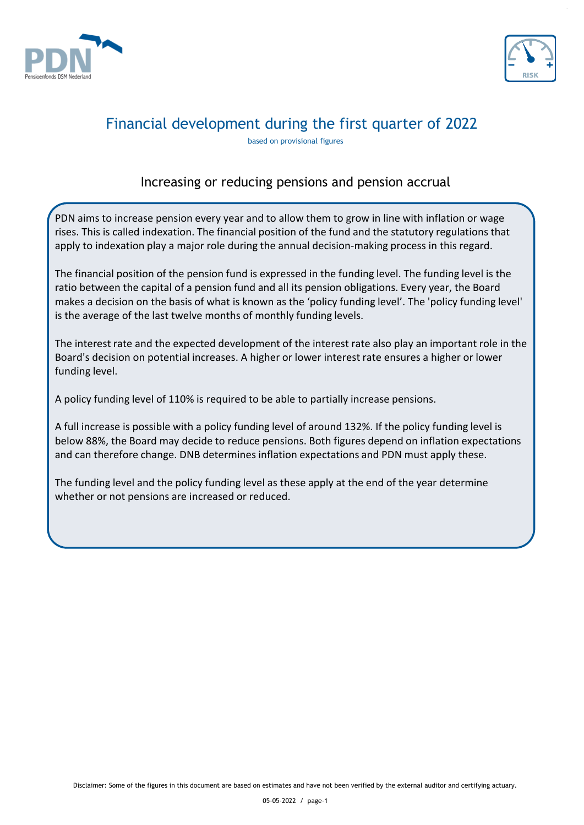



based on provisional figures

### Increasing or reducing pensions and pension accrual

PDN aims to increase pension every year and to allow them to grow in line with inflation or wage rises. This is called indexation. The financial position of the fund and the statutory regulations that apply to indexation play a major role during the annual decision-making process in this regard.

The financial position of the pension fund is expressed in the funding level. The funding level is the ratio between the capital of a pension fund and all its pension obligations. Every year, the Board makes a decision on the basis of what is known as the 'policy funding level'. The 'policy funding level' is the average of the last twelve months of monthly funding levels.

The interest rate and the expected development of the interest rate also play an important role in the Board's decision on potential increases. A higher or lower interest rate ensures a higher or lower funding level.

A policy funding level of 110% is required to be able to partially increase pensions.

A full increase is possible with a policy funding level of around 132%. If the policy funding level is below 88%, the Board may decide to reduce pensions. Both figures depend on inflation expectations and can therefore change. DNB determines inflation expectations and PDN must apply these.

The funding level and the policy funding level as these apply at the end of the year determine whether or not pensions are increased or reduced.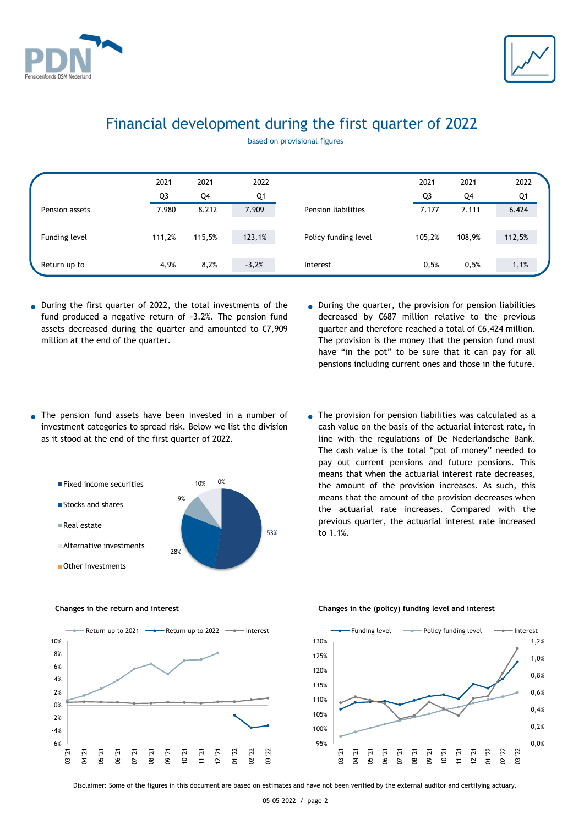



based on provisional figures

|                | 2021           | 2021   | 2022    |                      | 2021   | 2021   | 2022   |
|----------------|----------------|--------|---------|----------------------|--------|--------|--------|
|                | Q <sub>3</sub> | Q4     | Q1      |                      | Q3     | Q4     | Q1     |
| Pension assets | 7.980          | 8.212  | 7.909   | Pension liabilities  | 7.177  | 7.111  | 6.424  |
|                |                |        |         |                      |        |        |        |
| Funding level  | 111,2%         | 115,5% | 123,1%  | Policy funding level | 105,2% | 108,9% | 112,5% |
|                |                |        |         |                      |        |        |        |
| Return up to   | 4,9%           | 8,2%   | $-3,2%$ | Interest             | 0,5%   | 0,5%   | 1,1%   |

- **● ●** During the first quarter of 2022, the total investments of the fund produced a negative return of -3.2%. The pension fund assets decreased during the quarter and amounted to €7,909 million at the end of the quarter.
- During the quarter, the provision for pension liabilities decreased by €687 million relative to the previous quarter and therefore reached a total of €6,424 million. The provision is the money that the pension fund must have "in the pot" to be sure that it can pay for all pensions including current ones and those in the future.
- **● ●** The pension fund assets have been invested in a number of investment categories to spread risk. Below we list the division as it stood at the end of the first quarter of 2022.



The provision for pension liabilities was calculated as a cash value on the basis of the actuarial interest rate, in line with the regulations of De Nederlandsche Bank. The cash value is the total "pot of money" needed to pay out current pensions and future pensions. This means that when the actuarial interest rate decreases, the amount of the provision increases. As such, this means that the amount of the provision decreases when the actuarial rate increases. Compared with the previous quarter, the actuarial interest rate increased to 1.1%.





#### **Changes in the return and interest Changes in the (policy) funding level and interest**



Disclaimer: Some of the figures in this document are based on estimates and have not been verified by the external auditor and certifying actuary.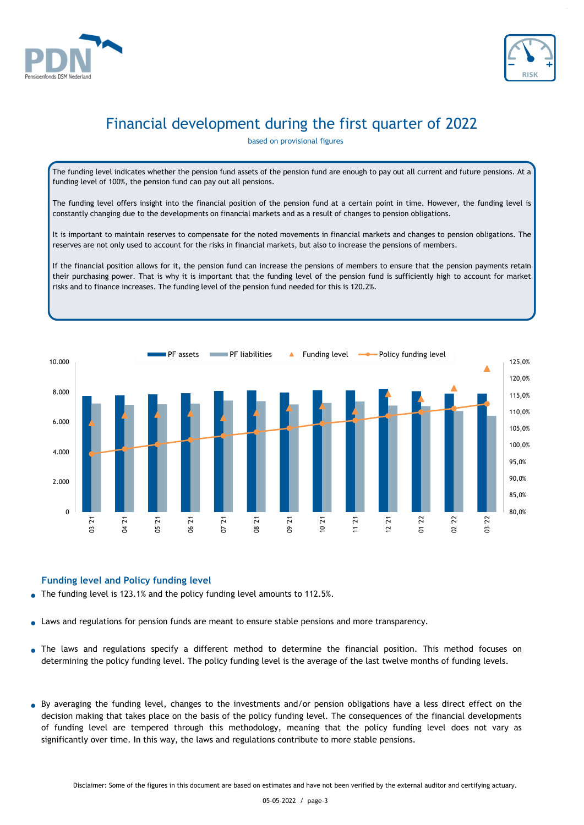



based on provisional figures

The funding level indicates whether the pension fund assets of the pension fund are enough to pay out all current and future pensions. At a funding level of 100%, the pension fund can pay out all pensions.

The funding level offers insight into the financial position of the pension fund at a certain point in time. However, the funding level is constantly changing due to the developments on financial markets and as a result of changes to pension obligations.

It is important to maintain reserves to compensate for the noted movements in financial markets and changes to pension obligations. The reserves are not only used to account for the risks in financial markets, but also to increase the pensions of members.

If the financial position allows for it, the pension fund can increase the pensions of members to ensure that the pension payments retain their purchasing power. That is why it is important that the funding level of the pension fund is sufficiently high to account for market risks and to finance increases. The funding level of the pension fund needed for this is 120.2%.



### **Funding level and Policy funding level**

- **●** The funding level is 123.1% and the policy funding level amounts to 112.5%.
- **●** Laws and regulations for pension funds are meant to ensure stable pensions and more transparency.
- **●** The laws and regulations specify a different method to determine the financial position. This method focuses on determining the policy funding level. The policy funding level is the average of the last twelve months of funding levels.
- **●** By averaging the funding level, changes to the investments and/or pension obligations have a less direct effect on the decision making that takes place on the basis of the policy funding level. The consequences of the financial developments of funding level are tempered through this methodology, meaning that the policy funding level does not vary as significantly over time. In this way, the laws and regulations contribute to more stable pensions.